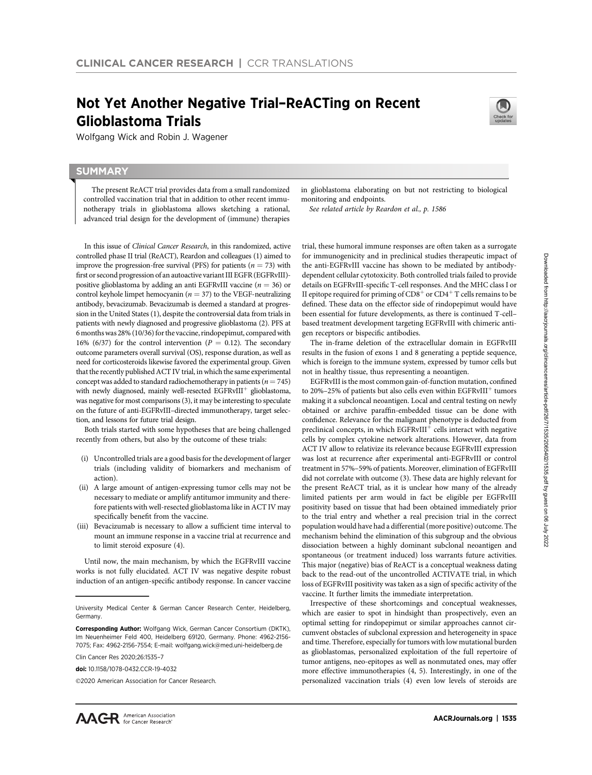# Not Yet Another Negative Trial–ReACTing on Recent Glioblastoma Trials



Wolfgang Wick and Robin J. Wagener

# **SUMMARY**

◥

The present ReACT trial provides data from a small randomized controlled vaccination trial that in addition to other recent immunotherapy trials in glioblastoma allows sketching a rational, advanced trial design for the development of (immune) therapies

In this issue of Clinical Cancer Research, in this randomized, active controlled phase II trial (ReACT), Reardon and colleagues (1) aimed to improve the progression-free survival (PFS) for patients ( $n = 73$ ) with first or second progression of an autoactive variant III EGFR (EGFRvIII) positive glioblastoma by adding an anti EGFRvIII vaccine ( $n = 36$ ) or control keyhole limpet hemocyanin ( $n = 37$ ) to the VEGF-neutralizing antibody, bevacizumab. Bevacizumab is deemed a standard at progression in the United States (1), despite the controversial data from trials in patients with newly diagnosed and progressive glioblastoma (2). PFS at 6 monthswas 28% (10/36) for the vaccine, rindopepimut, compared with 16% (6/37) for the control intervention ( $P = 0.12$ ). The secondary outcome parameters overall survival (OS), response duration, as well as need for corticosteroids likewise favored the experimental group. Given that the recently published ACT IV trial, in which the same experimental concept was added to standard radiochemotherapy in patients ( $n = 745$ ) with newly diagnosed, mainly well-resected EGFRvIII<sup>+</sup> glioblastoma, was negative for most comparisons (3), it may be interesting to speculate on the future of anti-EGFRvIII–directed immunotherapy, target selection, and lessons for future trial design.

Both trials started with some hypotheses that are being challenged recently from others, but also by the outcome of these trials:

- (i) Uncontrolled trials are a good basis for the development of larger trials (including validity of biomarkers and mechanism of action).
- (ii) A large amount of antigen-expressing tumor cells may not be necessary to mediate or amplify antitumor immunity and therefore patients with well-resected glioblastoma like in ACT IV may specifically benefit from the vaccine.
- (iii) Bevacizumab is necessary to allow a sufficient time interval to mount an immune response in a vaccine trial at recurrence and to limit steroid exposure (4).

Until now, the main mechanism, by which the EGFRvIII vaccine works is not fully elucidated. ACT IV was negative despite robust induction of an antigen-specific antibody response. In cancer vaccine

Clin Cancer Res 2020;26:1535–7

2020 American Association for Cancer Research.

in glioblastoma elaborating on but not restricting to biological monitoring and endpoints.

See related article by Reardon et al., p. 1586

trial, these humoral immune responses are often taken as a surrogate for immunogenicity and in preclinical studies therapeutic impact of the anti-EGFRvIII vaccine has shown to be mediated by antibodydependent cellular cytotoxicity. Both controlled trials failed to provide details on EGFRvIII-specific T-cell responses. And the MHC class I or II epitope required for priming of  $CD8<sup>+</sup>$  or  $CD4<sup>+</sup>$  T cells remains to be defined. These data on the effector side of rindopepimut would have been essential for future developments, as there is continued T-cell– based treatment development targeting EGFRvIII with chimeric antigen receptors or bispecific antibodies.

The in-frame deletion of the extracellular domain in EGFRvIII results in the fusion of exons 1 and 8 generating a peptide sequence, which is foreign to the immune system, expressed by tumor cells but not in healthy tissue, thus representing a neoantigen.

EGFRvIII is the most common gain-of-function mutation, confined to 20%–25% of patients but also cells even within  $EGFRvIII<sup>+</sup>$  tumors making it a subcloncal neoantigen. Local and central testing on newly obtained or archive paraffin-embedded tissue can be done with confidence. Relevance for the malignant phenotype is deducted from preclinical concepts, in which  $EGFRvIII<sup>+</sup>$  cells interact with negative cells by complex cytokine network alterations. However, data from ACT IV allow to relativize its relevance because EGFRvIII expression was lost at recurrence after experimental anti-EGFRvIII or control treatment in 57%–59% of patients. Moreover, elimination of EGFRvIII did not correlate with outcome (3). These data are highly relevant for the present ReACT trial, as it is unclear how many of the already limited patients per arm would in fact be eligible per EGFRvIII positivity based on tissue that had been obtained immediately prior to the trial entry and whether a real precision trial in the correct population would have had a differential (more positive) outcome. The mechanism behind the elimination of this subgroup and the obvious dissociation between a highly dominant subclonal neoantigen and spontaneous (or treatment induced) loss warrants future activities. This major (negative) bias of ReACT is a conceptual weakness dating back to the read-out of the uncontrolled ACTIVATE trial, in which loss of EGFRvIII positivity was taken as a sign of specific activity of the vaccine. It further limits the immediate interpretation.

Irrespective of these shortcomings and conceptual weaknesses, which are easier to spot in hindsight than prospectively, even an optimal setting for rindopepimut or similar approaches cannot circumvent obstacles of subclonal expression and heterogeneity in space and time. Therefore, especially for tumors with low mutational burden as glioblastomas, personalized exploitation of the full repertoire of tumor antigens, neo-epitopes as well as nonmutated ones, may offer more effective immunotherapies (4, 5). Interestingly, in one of the personalized vaccination trials (4) even low levels of steroids are

University Medical Center & German Cancer Research Center, Heidelberg, Germany.

Corresponding Author: Wolfgang Wick, German Cancer Consortium (DKTK), Im Neuenheimer Feld 400, Heidelberg 69120, Germany. Phone: 4962-2156- 7075; Fax: 4962-2156-7554; E-mail: wolfgang.wick@med.uni-heidelberg.de

doi: 10.1158/1078-0432.CCR-19-4032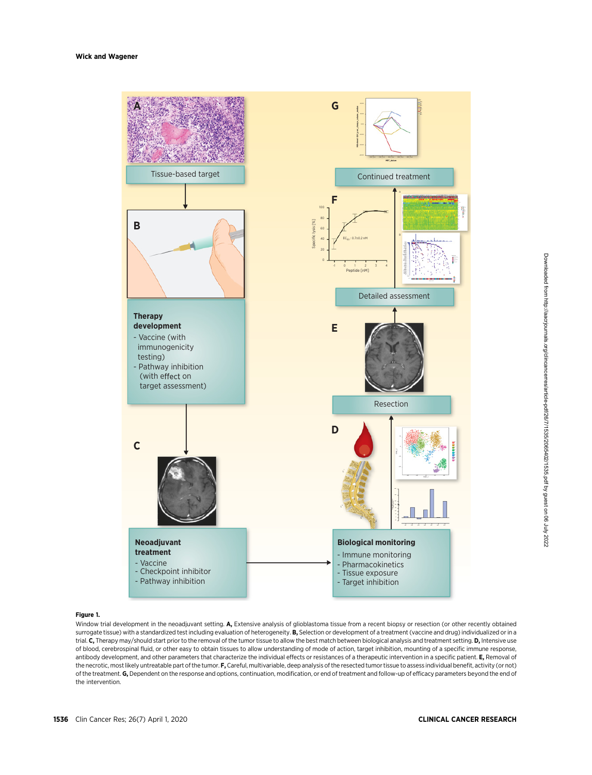

# Downloaded from http://aacrjournals.org/clincancerres/article-pdf/267/1535/2065402/1535.pdf by guest on 06 July 2022 Downloaded from http://aacrjournals.org/clincancerres/article-pdf/26/7/1535/2065402/1535.pdf by guest on 06 July 2022

# Figure 1.

Window trial development in the neoadjuvant setting. A, Extensive analysis of glioblastoma tissue from a recent biopsy or resection (or other recently obtained surrogate tissue) with a standardized test including evaluation of heterogeneity. B, Selection or development of a treatment (vaccine and drug) individualized or in a trial. C, Therapy may/should start prior to the removal of the tumor tissue to allow the best match between biological analysis and treatment setting. D, Intensive use of blood, cerebrospinal fluid, or other easy to obtain tissues to allow understanding of mode of action, target inhibition, mounting of a specific immune response, antibody development, and other parameters that characterize the individual effects or resistances of a therapeutic intervention in a specific patient. E, Removal of the necrotic, most likely untreatable part of the tumor. F, Careful, multivariable, deep analysis of the resected tumor tissue to assess individual benefit, activity (or not) of the treatment. G, Dependent on the response and options, continuation, modification, or end of treatment and follow-up of efficacy parameters beyond the end of the intervention.